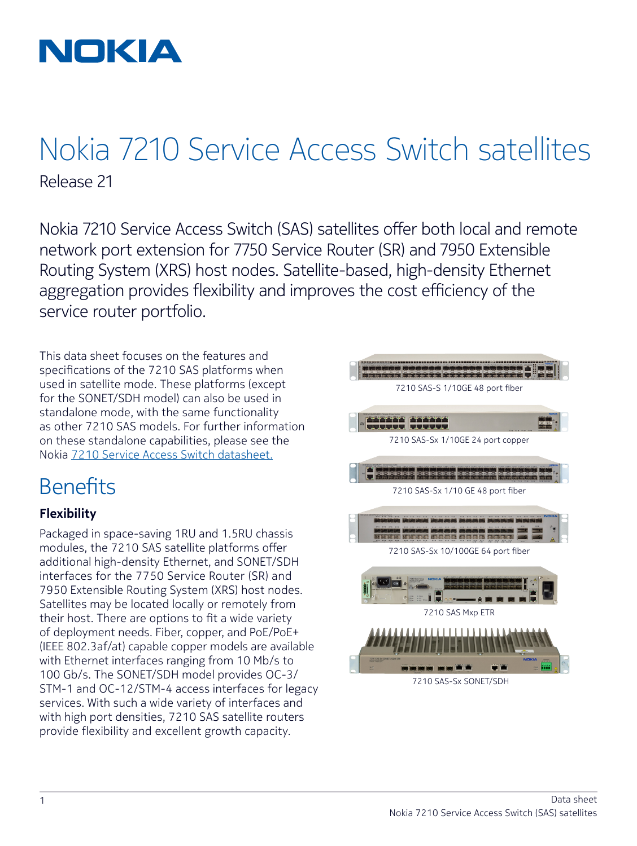

## Nokia 7210 Service Access Switch satellites Release 21

Nokia 7210 Service Access Switch (SAS) satellites offer both local and remote network port extension for 7750 Service Router (SR) and 7950 Extensible Routing System (XRS) host nodes. Satellite-based, high-density Ethernet aggregation provides flexibility and improves the cost efficiency of the service router portfolio.

This data sheet focuses on the features and specifications of the 7210 SAS platforms when used in satellite mode. These platforms (except for the SONET/SDH model) can also be used in standalone mode, with the same functionality as other 7210 SAS models. For further information on these standalone capabilities, please see the [Nokia 7210 Service Access Switch datasheet.](https://onestore.nokia.com/asset/184551)

### Benefits

### **Flexibility**

Packaged in space-saving 1RU and 1.5RU chassis modules, the 7210 SAS satellite platforms offer additional high-density Ethernet, and SONET/SDH interfaces for the 7750 Service Router (SR) and 7950 Extensible Routing System (XRS) host nodes. Satellites may be located locally or remotely from their host. There are options to fit a wide variety of deployment needs. Fiber, copper, and PoE/PoE+ (IEEE 802.3af/at) capable copper models are available with Ethernet interfaces ranging from 10 Mb/s to 100 Gb/s. The SONET/SDH model provides OC-3/ STM-1 and OC-12/STM-4 access interfaces for legacy services. With such a wide variety of interfaces and with high port densities, 7210 SAS satellite routers provide flexibility and excellent growth capacity.

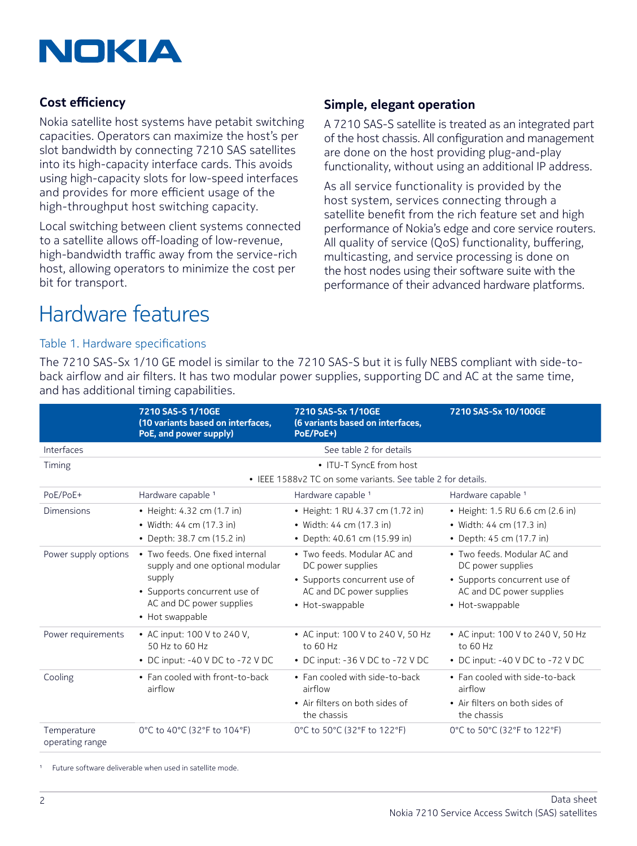

### **Cost efficiency**

Nokia satellite host systems have petabit switching capacities. Operators can maximize the host's per slot bandwidth by connecting 7210 SAS satellites into its high-capacity interface cards. This avoids using high-capacity slots for low-speed interfaces and provides for more efficient usage of the high-throughput host switching capacity.

Local switching between client systems connected to a satellite allows off-loading of low-revenue, high-bandwidth traffic away from the service-rich host, allowing operators to minimize the cost per bit for transport.

### **Simple, elegant operation**

A 7210 SAS-S satellite is treated as an integrated part of the host chassis. All configuration and management are done on the host providing plug-and-play functionality, without using an additional IP address.

As all service functionality is provided by the host system, services connecting through a satellite benefit from the rich feature set and high performance of Nokia's edge and core service routers. All quality of service (QoS) functionality, buffering, multicasting, and service processing is done on the host nodes using their software suite with the performance of their advanced hardware platforms.

### Hardware features

### Table 1. Hardware specifications

The 7210 SAS-Sx 1/10 GE model is similar to the 7210 SAS-S but it is fully NEBS compliant with side-toback airflow and air filters. It has two modular power supplies, supporting DC and AC at the same time, and has additional timing capabilities.

|                                | 7210 SAS-S 1/10GE<br>(10 variants based on interfaces,<br>PoE, and power supply)                                                                            | 7210 SAS-Sx 1/10GE<br>(6 variants based on interfaces,<br>PoE/PoE+)                                                             | 7210 SAS-Sx 10/100GE                                                                                                            |  |  |
|--------------------------------|-------------------------------------------------------------------------------------------------------------------------------------------------------------|---------------------------------------------------------------------------------------------------------------------------------|---------------------------------------------------------------------------------------------------------------------------------|--|--|
| Interfaces                     |                                                                                                                                                             | See table 2 for details                                                                                                         |                                                                                                                                 |  |  |
| Timing                         | • ITU-T SyncE from host                                                                                                                                     |                                                                                                                                 |                                                                                                                                 |  |  |
|                                | • IEEE 1588v2 TC on some variants. See table 2 for details.                                                                                                 |                                                                                                                                 |                                                                                                                                 |  |  |
| PoE/PoE+                       | Hardware capable <sup>1</sup>                                                                                                                               | Hardware capable 1                                                                                                              | Hardware capable <sup>1</sup>                                                                                                   |  |  |
| <b>Dimensions</b>              | • Height: 4.32 cm (1.7 in)<br>• Width: 44 cm (17.3 in)<br>• Depth: 38.7 cm (15.2 in)                                                                        | • Height: 1 RU 4.37 cm (1.72 in)<br>• Width: 44 cm (17.3 in)<br>• Depth: 40.61 cm (15.99 in)                                    | • Height: 1.5 RU 6.6 cm (2.6 in)<br>• Width: 44 cm (17.3 in)<br>• Depth: 45 cm (17.7 in)                                        |  |  |
| Power supply options           | • Two feeds, One fixed internal<br>supply and one optional modular<br>supply<br>• Supports concurrent use of<br>AC and DC power supplies<br>• Hot swappable | • Two feeds, Modular AC and<br>DC power supplies<br>• Supports concurrent use of<br>AC and DC power supplies<br>• Hot-swappable | • Two feeds, Modular AC and<br>DC power supplies<br>• Supports concurrent use of<br>AC and DC power supplies<br>• Hot-swappable |  |  |
| Power requirements             | • AC input: 100 V to 240 V.<br>50 Hz to 60 Hz<br>• DC input: $-40$ V DC to $-72$ V DC                                                                       | • AC input: 100 V to 240 V, 50 Hz<br>to 60 Hz<br>• DC input: $-36$ V DC to $-72$ V DC                                           | • AC input: 100 V to 240 V, 50 Hz<br>to 60 Hz<br>• DC input: $-40$ V DC to $-72$ V DC                                           |  |  |
| Cooling                        | • Fan cooled with front-to-back<br>airflow                                                                                                                  | • Fan cooled with side-to-back<br>airflow<br>• Air filters on both sides of<br>the chassis                                      | • Fan cooled with side-to-back<br>airflow<br>• Air filters on both sides of<br>the chassis                                      |  |  |
| Temperature<br>operating range | 0°C to 40°C (32°F to 104°F)                                                                                                                                 | 0°C to 50°C (32°F to 122°F)                                                                                                     | 0°C to 50°C (32°F to 122°F)                                                                                                     |  |  |

1 Future software deliverable when used in satellite mode.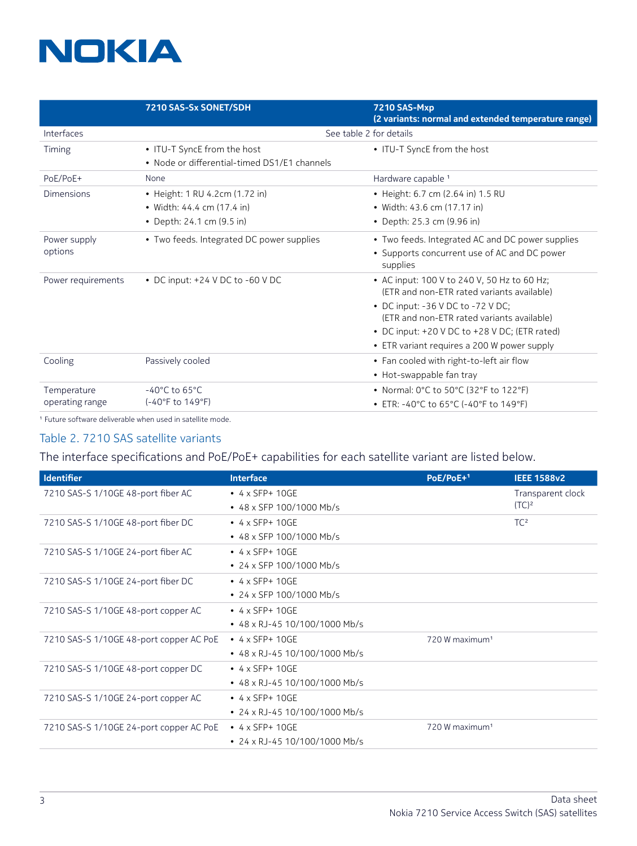# **NOKIA**

|                    | 7210 SAS-Sx SONET/SDH                        | <b>7210 SAS-Mxp</b><br>(2 variants: normal and extended temperature range)                |  |  |
|--------------------|----------------------------------------------|-------------------------------------------------------------------------------------------|--|--|
| Interfaces         |                                              | See table 2 for details                                                                   |  |  |
| Timing             | • ITU-T SyncE from the host                  | • ITU-T SyncE from the host                                                               |  |  |
|                    | • Node or differential-timed DS1/E1 channels |                                                                                           |  |  |
| PoE/PoE+           | None                                         | Hardware capable 1                                                                        |  |  |
| Dimensions         | • Height: 1 RU 4.2cm (1.72 in)               | • Height: 6.7 cm (2.64 in) 1.5 RU                                                         |  |  |
|                    | • Width: $44.4 \text{ cm}$ (17.4 in)         | • Width: 43.6 cm (17.17 in)                                                               |  |  |
|                    | • Depth: 24.1 cm (9.5 in)                    | • Depth: 25.3 cm (9.96 in)                                                                |  |  |
| Power supply       | • Two feeds. Integrated DC power supplies    | • Two feeds. Integrated AC and DC power supplies                                          |  |  |
| options            |                                              | • Supports concurrent use of AC and DC power<br>supplies                                  |  |  |
| Power requirements | • DC input: $+24$ V DC to $-60$ V DC         | • AC input: 100 V to 240 V, 50 Hz to 60 Hz;<br>(ETR and non-ETR rated variants available) |  |  |
|                    |                                              | • DC input: -36 V DC to -72 V DC;<br>(ETR and non-ETR rated variants available)           |  |  |
|                    |                                              | • DC input: $+20$ V DC to $+28$ V DC; (ETR rated)                                         |  |  |
|                    |                                              | • ETR variant requires a 200 W power supply                                               |  |  |
| Cooling            | Passively cooled                             | • Fan cooled with right-to-left air flow                                                  |  |  |
|                    |                                              | • Hot-swappable fan tray                                                                  |  |  |
| Temperature        | $-40^{\circ}$ C to 65 $^{\circ}$ C           | • Normal: 0°C to 50°C (32°F to 122°F)                                                     |  |  |
| operating range    | (-40°F to 149°F)                             | • ETR: -40°C to 65°C (-40°F to 149°F)                                                     |  |  |

1 Future software deliverable when used in satellite mode.

### Table 2. 7210 SAS satellite variants

The interface specifications and PoE/PoE+ capabilities for each satellite variant are listed below.

| <b>Identifier</b>                       | <b>Interface</b>                    | $PoE/PoE+1$                | <b>IEEE 1588v2</b> |
|-----------------------------------------|-------------------------------------|----------------------------|--------------------|
| 7210 SAS-S 1/10GE 48-port fiber AC      | $\bullet$ 4 x SFP+ 10GE             |                            | Transparent clock  |
|                                         | • 48 x SFP 100/1000 Mb/s            |                            | (TC) <sup>2</sup>  |
| 7210 SAS-S 1/10GE 48-port fiber DC      | $\bullet$ 4 x SFP+ 10GE             |                            | TC <sup>2</sup>    |
|                                         | • 48 x SFP 100/1000 Mb/s            |                            |                    |
| 7210 SAS-S 1/10GE 24-port fiber AC      | $\bullet$ 4 x SFP+ 10GE             |                            |                    |
|                                         | • 24 x SFP 100/1000 Mb/s            |                            |                    |
| 7210 SAS-S 1/10GE 24-port fiber DC      | $\bullet$ 4 x SFP+ 10GE             |                            |                    |
|                                         | • 24 x SFP 100/1000 Mb/s            |                            |                    |
| 7210 SAS-S 1/10GE 48-port copper AC     | $\bullet$ 4 x SFP+ 10GE             |                            |                    |
|                                         | $\cdot$ 48 x RJ-45 10/100/1000 Mb/s |                            |                    |
| 7210 SAS-S 1/10GE 48-port copper AC PoE | $\bullet$ 4 x SFP+ 10GE             | 720 W maximum <sup>1</sup> |                    |
|                                         | • 48 x RJ-45 10/100/1000 Mb/s       |                            |                    |
| 7210 SAS-S 1/10GE 48-port copper DC     | $\bullet$ 4 x SFP+ 10GE             |                            |                    |
|                                         | $\cdot$ 48 x RJ-45 10/100/1000 Mb/s |                            |                    |
| 7210 SAS-S 1/10GE 24-port copper AC     | $\bullet$ 4 x SFP+ 10GE             |                            |                    |
|                                         | $\cdot$ 24 x RJ-45 10/100/1000 Mb/s |                            |                    |
| 7210 SAS-S 1/10GE 24-port copper AC PoE | $\bullet$ 4 x SFP+ 10GE             | 720 W maximum <sup>1</sup> |                    |
|                                         | $\cdot$ 24 x RJ-45 10/100/1000 Mb/s |                            |                    |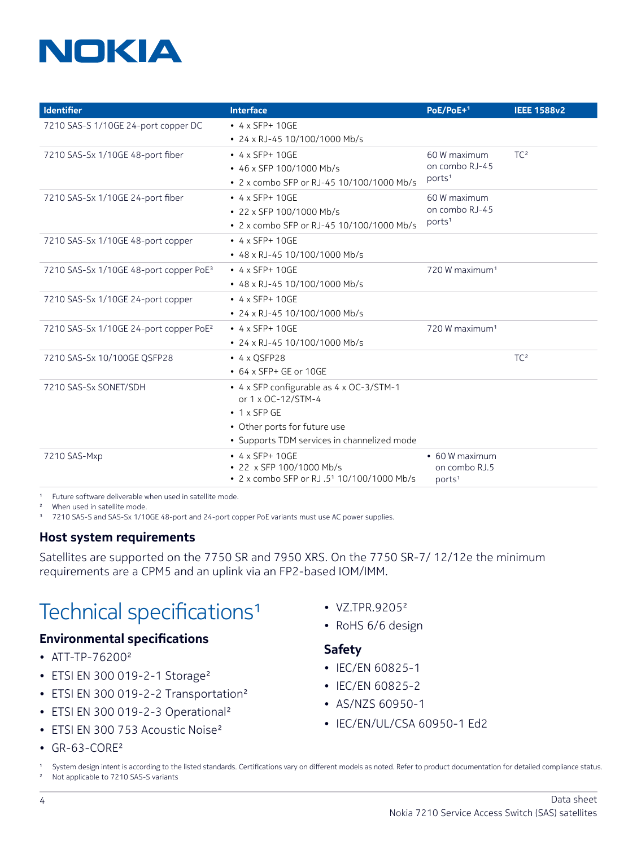# NOKIA

| Identifier                                         | <b>Interface</b>                                               | PoE/PoE+1                      | <b>IEEE 1588v2</b> |
|----------------------------------------------------|----------------------------------------------------------------|--------------------------------|--------------------|
| 7210 SAS-S 1/10GE 24-port copper DC                | $\bullet$ 4 x SFP+ 10GE                                        |                                |                    |
|                                                    | • 24 x RJ-45 10/100/1000 Mb/s                                  |                                |                    |
| 7210 SAS-Sx 1/10GE 48-port fiber                   | $\cdot$ 4 x SFP+ 10GE                                          | 60 W maximum                   | TC <sup>2</sup>    |
|                                                    | • 46 x SFP 100/1000 Mb/s                                       | on combo RJ-45                 |                    |
|                                                    | • 2 x combo SFP or RJ-45 10/100/1000 Mb/s                      | ports <sup>1</sup>             |                    |
| 7210 SAS-Sx 1/10GE 24-port fiber                   | $\bullet$ 4 x SFP+ 10GE                                        | 60 W maximum<br>on combo RJ-45 |                    |
|                                                    | • 22 x SFP 100/1000 Mb/s                                       |                                |                    |
|                                                    | • 2 x combo SFP or RJ-45 10/100/1000 Mb/s                      | ports <sup>1</sup>             |                    |
| 7210 SAS-Sx 1/10GE 48-port copper                  | $\bullet$ 4 x SFP+ 10GE                                        |                                |                    |
|                                                    | • 48 x RJ-45 10/100/1000 Mb/s                                  |                                |                    |
| 7210 SAS-Sx 1/10GE 48-port copper PoE <sup>3</sup> | $\bullet$ 4 x SFP+ 10GE                                        | 720 W maximum <sup>1</sup>     |                    |
|                                                    | • 48 x RJ-45 10/100/1000 Mb/s                                  |                                |                    |
| 7210 SAS-Sx 1/10GE 24-port copper                  | $\cdot$ 4 x SFP+ 10GE                                          |                                |                    |
|                                                    | • 24 x RJ-45 10/100/1000 Mb/s                                  |                                |                    |
| 7210 SAS-Sx 1/10GE 24-port copper PoE <sup>2</sup> | $\cdot$ 4 x SFP+ 10GE                                          | 720 W maximum <sup>1</sup>     |                    |
|                                                    | • 24 x RJ-45 10/100/1000 Mb/s                                  |                                |                    |
| 7210 SAS-Sx 10/100GE QSFP28                        | $\bullet$ 4 x QSFP28                                           |                                | TC <sup>2</sup>    |
|                                                    | $\cdot$ 64 x SFP+ GE or 10GE                                   |                                |                    |
| 7210 SAS-Sx SONET/SDH                              | • 4 x SFP configurable as 4 x OC-3/STM-1<br>or 1 x OC-12/STM-4 |                                |                    |
|                                                    | $\bullet$ 1 x SFP GE                                           |                                |                    |
|                                                    | • Other ports for future use                                   |                                |                    |
|                                                    | · Supports TDM services in channelized mode                    |                                |                    |
| 7210 SAS-Mxp                                       | $\bullet$ 4 x SFP+ 10GE                                        | • 60 W maximum                 |                    |
|                                                    | • 22 x SFP 100/1000 Mb/s                                       | on combo RJ.5                  |                    |
|                                                    | • 2 x combo SFP or RJ .51 10/100/1000 Mb/s                     | ports <sup>1</sup>             |                    |

Future software deliverable when used in satellite mode.

2 When used in satellite mode.

<sup>3</sup> 7210 SAS-S and SAS-Sx 1/10GE 48-port and 24-port copper PoE variants must use AC power supplies.

### **Host system requirements**

Satellites are supported on the 7750 SR and 7950 XRS. On the 7750 SR-7/ 12/12e the minimum requirements are a CPM5 and an uplink via an FP2-based IOM/IMM.

### Technical specifications1

### **Environmental specifications**

- ATT-TP-762002
- ETSI EN 300 019-2-1 Storage<sup>2</sup>
- ETSI EN 300 019-2-2 Transportation<sup>2</sup>
- ETSI EN 300 019-2-3 Operational<sup>2</sup>
- ETSI EN 300 753 Acoustic Noise<sup>2</sup>
- VZ.TPR.92052
- RoHS 6/6 design

#### **Safety**

- IEC/EN 60825-1
- IEC/EN 60825-2
- AS/NZS 60950-1
- IEC/EN/UL/CSA 60950-1 Ed2

 $\cdot$  GR-63-CORF<sup>2</sup>

<sup>1</sup> System design intent is according to the listed standards. Certifications vary on different models as noted. Refer to product documentation for detailed compliance status.<br><sup>2</sup> Not applicable to 7210 SAS-S variants Not applicable to 7210 SAS-S variants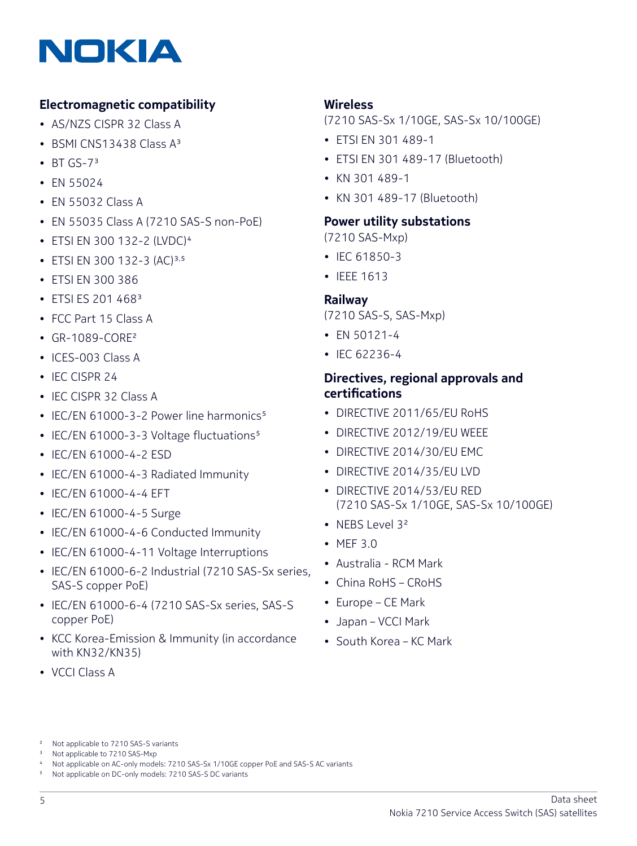

### **Electromagnetic compatibility**

- AS/NZS CISPR 32 Class A
- BSMI CNS13438 Class A3
- $\cdot$  BT GS-7<sup>3</sup>
- EN 55024
- EN 55032 Class A
- EN 55035 Class A (7210 SAS-S non-PoE)
- ETSI EN 300 132-2 (LVDC)4
- ETSI EN 300 132-3 (AC)<sup>3,5</sup>
- ETSI EN 300 386
- ETSI ES 201 468<sup>3</sup>
- FCC Part 15 Class A
- GR-1089-CORF<sup>2</sup>
- ICES-003 Class A
- IEC CISPR 24
- IEC CISPR 32 Class A
- IEC/EN 61000-3-2 Power line harmonics<sup>5</sup>
- IEC/EN 61000-3-3 Voltage fluctuations<sup>5</sup>
- IEC/EN 61000-4-2 ESD
- IEC/EN 61000-4-3 Radiated Immunity
- IEC/EN 61000-4-4 EFT
- IEC/EN 61000-4-5 Surge
- IEC/EN 61000-4-6 Conducted Immunity
- IEC/EN 61000-4-11 Voltage Interruptions
- IEC/EN 61000-6-2 Industrial (7210 SAS-Sx series, SAS-S copper PoE)
- IEC/EN 61000-6-4 (7210 SAS-Sx series, SAS-S copper PoE)
- KCC Korea-Emission & Immunity (in accordance with KN32/KN35)
- VCCI Class A

### **Wireless**

(7210 SAS-Sx 1/10GE, SAS-Sx 10/100GE)

- ETSI EN 301 489-1
- ETSI EN 301 489-17 (Bluetooth)
- KN 301 489-1
- KN 301 489-17 (Bluetooth)

### **Power utility substations**

(7210 SAS-Mxp)

- IEC 61850-3
- IEEE 1613

#### **Railway**

- (7210 SAS-S, SAS-Mxp)
- EN 50121-4
- IEC 62236-4

### **Directives, regional approvals and certifications**

- DIRECTIVE 2011/65/FU RoHS
- DIRECTIVE 2012/19/EU WEEE
- DIRECTIVE 2014/30/EU EMC
- DIRECTIVE 2014/35/EU LVD
- DIRECTIVE 2014/53/EU RED (7210 SAS-Sx 1/10GE, SAS-Sx 10/100GE)
- NFBS Level 3<sup>2</sup>
- MEF 3.0
- Australia RCM Mark
- China RoHS CRoHS
- Europe CE Mark
- Japan VCCI Mark
- South Korea KC Mark

<sup>3</sup> Not applicable to 7210 SAS-Mxp

5 Not applicable on DC-only models: 7210 SAS-S DC variants

<sup>2</sup> Not applicable to 7210 SAS-S variants

<sup>4</sup> Not applicable on AC-only models: 7210 SAS-Sx 1/10GE copper PoE and SAS-S AC variants